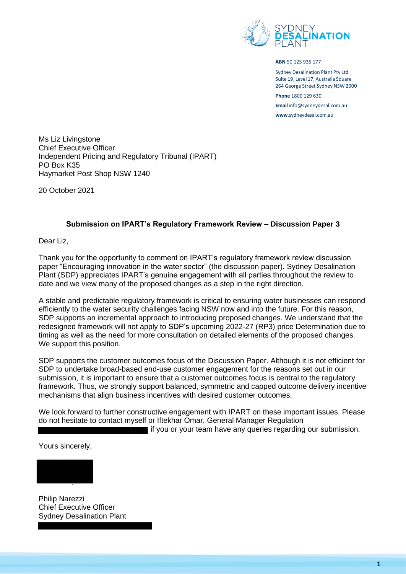

**ABN** 50 125 935 177

Sydney Desalination Plant Pty Ltd Suite 19, Level 17, Australia Square 264 George Street Sydney NSW 2000 **Phone** 1800 129 630

**Email** [info@sydneydesal.com.au](mailto:info@sydneydesal.com.au) **www**[.sydneydesal.com.au](http://www.sydneydesal.com.au/)

Ms Liz Livingstone Chief Executive Officer Independent Pricing and Regulatory Tribunal (IPART) PO Box K35 Haymarket Post Shop NSW 1240

20 October 2021

### **Submission on IPART's Regulatory Framework Review – Discussion Paper 3**

Dear Liz,

Thank you for the opportunity to comment on IPART's regulatory framework review discussion paper "Encouraging innovation in the water sector" (the discussion paper). Sydney Desalination Plant (SDP) appreciates IPART's genuine engagement with all parties throughout the review to date and we view many of the proposed changes as a step in the right direction.

A stable and predictable regulatory framework is critical to ensuring water businesses can respond efficiently to the water security challenges facing NSW now and into the future. For this reason, SDP supports an incremental approach to introducing proposed changes. We understand that the redesigned framework will not apply to SDP's upcoming 2022-27 (RP3) price Determination due to timing as well as the need for more consultation on detailed elements of the proposed changes. We support this position.

SDP supports the customer outcomes focus of the Discussion Paper. Although it is not efficient for SDP to undertake broad-based end-use customer engagement for the reasons set out in our submission, it is important to ensure that a customer outcomes focus is central to the regulatory framework. Thus, we strongly support balanced, symmetric and capped outcome delivery incentive mechanisms that align business incentives with desired customer outcomes.

We look forward to further constructive engagement with IPART on these important issues. Please do not hesitate to contact myself or Iftekhar Omar, General Manager Regulation

if you or your team have any queries regarding our submission.

Yours sincerely,



Philip Narezzi Chief Executive Officer Sydney Desalination Plant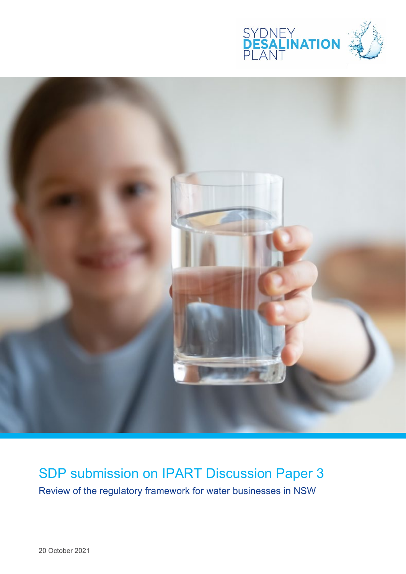



SDP submission on IPART Discussion Paper 3 Review of the regulatory framework for water businesses in NSW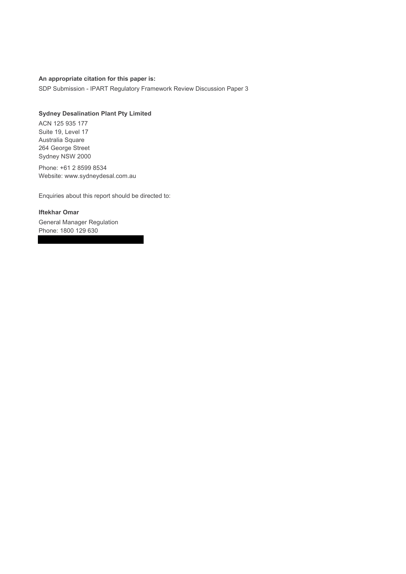#### **An appropriate citation for this paper is:**

SDP Submission - IPART Regulatory Framework Review Discussion Paper 3

#### **Sydney Desalination Plant Pty Limited**

ACN 125 935 177 Suite 19, Level 17 Australia Square 264 George Street Sydney NSW 2000

Phone: +61 2 8599 8534 Website: www.sydneydesal.com.au

Enquiries about this report should be directed to:

## **Iftekhar Omar**

General Manager Regulation Phone: 1800 129 630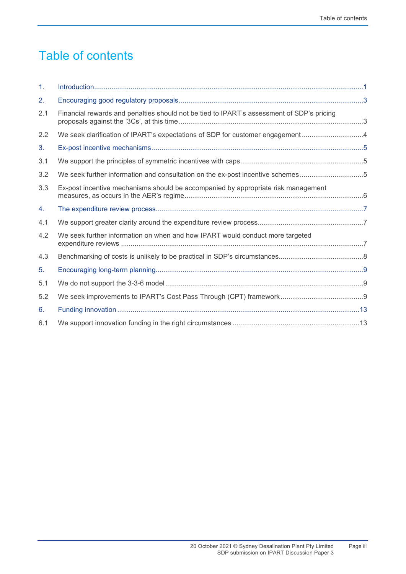# Table of contents

| $\mathbf{1}$ . |                                                                                           |  |
|----------------|-------------------------------------------------------------------------------------------|--|
| 2.             |                                                                                           |  |
| 2.1            | Financial rewards and penalties should not be tied to IPART's assessment of SDP's pricing |  |
| 2.2            | We seek clarification of IPART's expectations of SDP for customer engagement4             |  |
| 3.             |                                                                                           |  |
| 3.1            |                                                                                           |  |
| 3.2            | We seek further information and consultation on the ex-post incentive schemes5            |  |
| 3.3            | Ex-post incentive mechanisms should be accompanied by appropriate risk management         |  |
| 4.             |                                                                                           |  |
| 4.1            |                                                                                           |  |
| 4.2            | We seek further information on when and how IPART would conduct more targeted             |  |
| 4.3            |                                                                                           |  |
| 5.             |                                                                                           |  |
| 5.1            |                                                                                           |  |
| 5.2            |                                                                                           |  |
| 6.             |                                                                                           |  |
| 6.1            |                                                                                           |  |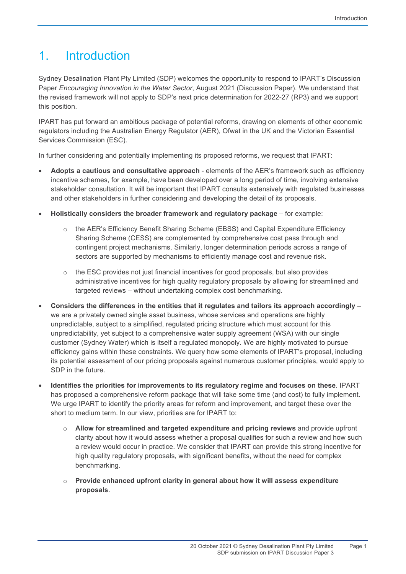# 1. Introduction

Sydney Desalination Plant Pty Limited (SDP) welcomes the opportunity to respond to IPART's Discussion Paper *Encouraging Innovation in the Water Sector*, August 2021 (Discussion Paper). We understand that the revised framework will not apply to SDP's next price determination for 2022-27 (RP3) and we support this position.

IPART has put forward an ambitious package of potential reforms, drawing on elements of other economic regulators including the Australian Energy Regulator (AER), Ofwat in the UK and the Victorian Essential Services Commission (ESC).

In further considering and potentially implementing its proposed reforms, we request that IPART:

- **Adopts a cautious and consultative approach** elements of the AER's framework such as efficiency incentive schemes, for example, have been developed over a long period of time, involving extensive stakeholder consultation. It will be important that IPART consults extensively with regulated businesses and other stakeholders in further considering and developing the detail of its proposals.
- **Holistically considers the broader framework and regulatory package** for example:
	- o the AER's Efficiency Benefit Sharing Scheme (EBSS) and Capital Expenditure Efficiency Sharing Scheme (CESS) are complemented by comprehensive cost pass through and contingent project mechanisms. Similarly, longer determination periods across a range of sectors are supported by mechanisms to efficiently manage cost and revenue risk.
	- o the ESC provides not just financial incentives for good proposals, but also provides administrative incentives for high quality regulatory proposals by allowing for streamlined and targeted reviews – without undertaking complex cost benchmarking.
- **Considers the differences in the entities that it regulates and tailors its approach accordingly** we are a privately owned single asset business, whose services and operations are highly unpredictable, subject to a simplified, regulated pricing structure which must account for this unpredictability, yet subject to a comprehensive water supply agreement (WSA) with our single customer (Sydney Water) which is itself a regulated monopoly. We are highly motivated to pursue efficiency gains within these constraints. We query how some elements of IPART's proposal, including its potential assessment of our pricing proposals against numerous customer principles, would apply to SDP in the future.
- **Identifies the priorities for improvements to its regulatory regime and focuses on these**. IPART has proposed a comprehensive reform package that will take some time (and cost) to fully implement. We urge IPART to identify the priority areas for reform and improvement, and target these over the short to medium term. In our view, priorities are for IPART to:
	- o **Allow for streamlined and targeted expenditure and pricing reviews** and provide upfront clarity about how it would assess whether a proposal qualifies for such a review and how such a review would occur in practice. We consider that IPART can provide this strong incentive for high quality regulatory proposals, with significant benefits, without the need for complex benchmarking.
	- o **Provide enhanced upfront clarity in general about how it will assess expenditure proposals**.

Page 1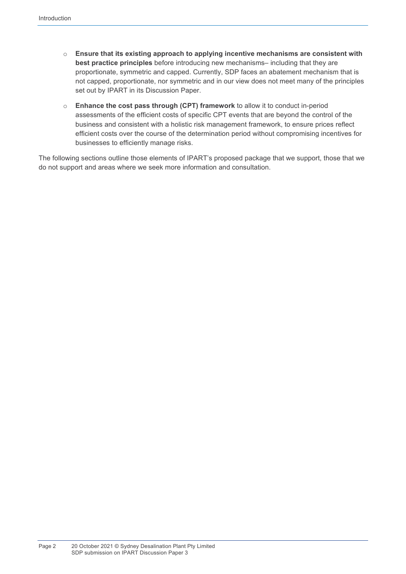- o **Ensure that its existing approach to applying incentive mechanisms are consistent with best practice principles** before introducing new mechanisms– including that they are proportionate, symmetric and capped. Currently, SDP faces an abatement mechanism that is not capped, proportionate, nor symmetric and in our view does not meet many of the principles set out by IPART in its Discussion Paper.
- o **Enhance the cost pass through (CPT) framework** to allow it to conduct in-period assessments of the efficient costs of specific CPT events that are beyond the control of the business and consistent with a holistic risk management framework, to ensure prices reflect efficient costs over the course of the determination period without compromising incentives for businesses to efficiently manage risks.

The following sections outline those elements of IPART's proposed package that we support, those that we do not support and areas where we seek more information and consultation.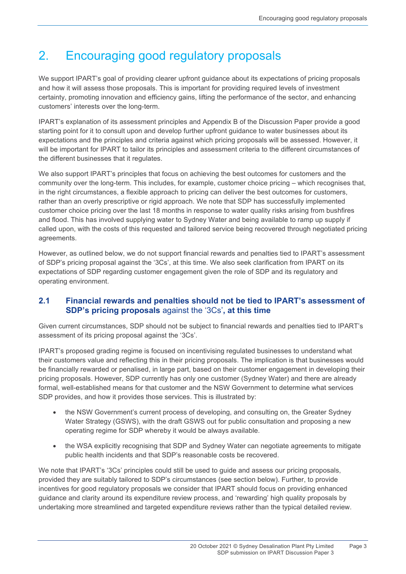# 2. Encouraging good regulatory proposals

We support IPART's goal of providing clearer upfront guidance about its expectations of pricing proposals and how it will assess those proposals. This is important for providing required levels of investment certainty, promoting innovation and efficiency gains, lifting the performance of the sector, and enhancing customers' interests over the long-term.

IPART's explanation of its assessment principles and Appendix B of the Discussion Paper provide a good starting point for it to consult upon and develop further upfront guidance to water businesses about its expectations and the principles and criteria against which pricing proposals will be assessed. However, it will be important for IPART to tailor its principles and assessment criteria to the different circumstances of the different businesses that it regulates.

We also support IPART's principles that focus on achieving the best outcomes for customers and the community over the long-term. This includes, for example, customer choice pricing – which recognises that, in the right circumstances, a flexible approach to pricing can deliver the best outcomes for customers, rather than an overly prescriptive or rigid approach. We note that SDP has successfully implemented customer choice pricing over the last 18 months in response to water quality risks arising from bushfires and flood. This has involved supplying water to Sydney Water and being available to ramp up supply if called upon, with the costs of this requested and tailored service being recovered through negotiated pricing agreements.

However, as outlined below, we do not support financial rewards and penalties tied to IPART's assessment of SDP's pricing proposal against the '3Cs', at this time. We also seek clarification from IPART on its expectations of SDP regarding customer engagement given the role of SDP and its regulatory and operating environment.

## **2.1 Financial rewards and penalties should not be tied to IPART's assessment of SDP's pricing proposals** against the '3Cs'**, at this time**

Given current circumstances, SDP should not be subject to financial rewards and penalties tied to IPART's assessment of its pricing proposal against the '3Cs'.

IPART's proposed grading regime is focused on incentivising regulated businesses to understand what their customers value and reflecting this in their pricing proposals. The implication is that businesses would be financially rewarded or penalised, in large part, based on their customer engagement in developing their pricing proposals. However, SDP currently has only one customer (Sydney Water) and there are already formal, well-established means for that customer and the NSW Government to determine what services SDP provides, and how it provides those services. This is illustrated by:

- the NSW Government's current process of developing, and consulting on, the Greater Sydney Water Strategy (GSWS), with the [draft GSWS](https://www.industry.nsw.gov.au/__data/assets/pdf_file/0017/470501/draft-strategy.pdf) out for public consultation and proposing a new operating regime for SDP whereby it would be always available.
- the WSA explicitly recognising that SDP and Sydney Water can negotiate agreements to mitigate public health incidents and that SDP's reasonable costs be recovered.

We note that IPART's '3Cs' principles could still be used to guide and assess our pricing proposals, provided they are suitably tailored to SDP's circumstances (see section below). Further, to provide incentives for good regulatory proposals we consider that IPART should focus on providing enhanced guidance and clarity around its expenditure review process, and 'rewarding' high quality proposals by undertaking more streamlined and targeted expenditure reviews rather than the typical detailed review.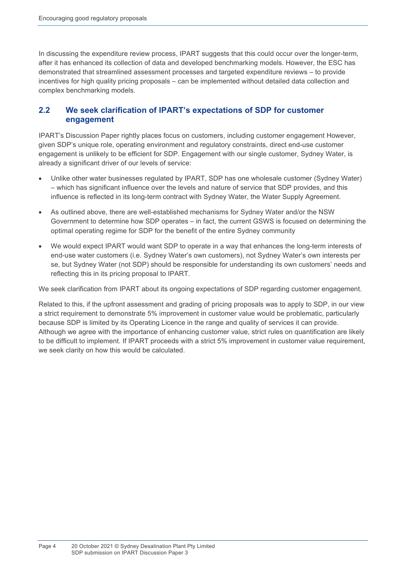In discussing the expenditure review process, IPART suggests that this could occur over the longer-term, after it has enhanced its collection of data and developed benchmarking models. However, the ESC has demonstrated that streamlined assessment processes and targeted expenditure reviews – to provide incentives for high quality pricing proposals – can be implemented without detailed data collection and complex benchmarking models.

## **2.2 We seek clarification of IPART's expectations of SDP for customer engagement**

IPART's Discussion Paper rightly places focus on customers, including customer engagement However, given SDP's unique role, operating environment and regulatory constraints, direct end-use customer engagement is unlikely to be efficient for SDP. Engagement with our single customer, Sydney Water, is already a significant driver of our levels of service:

- Unlike other water businesses regulated by IPART, SDP has one wholesale customer (Sydney Water) – which has significant influence over the levels and nature of service that SDP provides, and this influence is reflected in its long-term contract with Sydney Water, the Water Supply Agreement.
- As outlined above, there are well-established mechanisms for Sydney Water and/or the NSW Government to determine how SDP operates – in fact, the current GSWS is focused on determining the optimal operating regime for SDP for the benefit of the entire Sydney community
- We would expect IPART would want SDP to operate in a way that enhances the long-term interests of end-use water customers (i.e. Sydney Water's own customers), not Sydney Water's own interests per se, but Sydney Water (not SDP) should be responsible for understanding its own customers' needs and reflecting this in its pricing proposal to IPART.

We seek clarification from IPART about its ongoing expectations of SDP regarding customer engagement.

Related to this, if the upfront assessment and grading of pricing proposals was to apply to SDP, in our view a strict requirement to demonstrate 5% improvement in customer value would be problematic, particularly because SDP is limited by its Operating Licence in the range and quality of services it can provide. Although we agree with the importance of enhancing customer value, strict rules on quantification are likely to be difficult to implement. If IPART proceeds with a strict 5% improvement in customer value requirement, we seek clarity on how this would be calculated.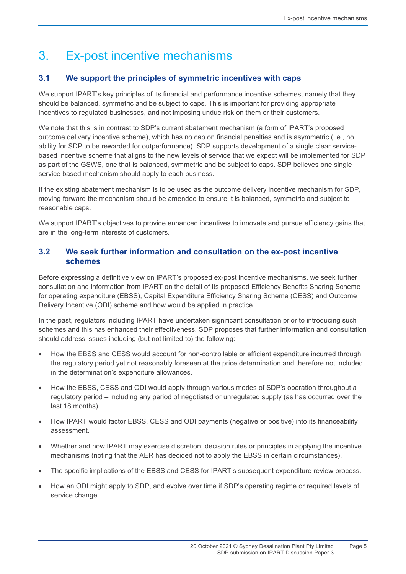# 3. Ex-post incentive mechanisms

## **3.1 We support the principles of symmetric incentives with caps**

We support IPART's key principles of its financial and performance incentive schemes, namely that they should be balanced, symmetric and be subject to caps. This is important for providing appropriate incentives to regulated businesses, and not imposing undue risk on them or their customers.

We note that this is in contrast to SDP's current abatement mechanism (a form of IPART's proposed outcome delivery incentive scheme), which has no cap on financial penalties and is asymmetric (i.e., no ability for SDP to be rewarded for outperformance). SDP supports development of a single clear servicebased incentive scheme that aligns to the new levels of service that we expect will be implemented for SDP as part of the GSWS, one that is balanced, symmetric and be subject to caps. SDP believes one single service based mechanism should apply to each business.

If the existing abatement mechanism is to be used as the outcome delivery incentive mechanism for SDP, moving forward the mechanism should be amended to ensure it is balanced, symmetric and subject to reasonable caps.

We support IPART's objectives to provide enhanced incentives to innovate and pursue efficiency gains that are in the long-term interests of customers.

## **3.2 We seek further information and consultation on the ex-post incentive schemes**

Before expressing a definitive view on IPART's proposed ex-post incentive mechanisms, we seek further consultation and information from IPART on the detail of its proposed Efficiency Benefits Sharing Scheme for operating expenditure (EBSS), Capital Expenditure Efficiency Sharing Scheme (CESS) and Outcome Delivery Incentive (ODI) scheme and how would be applied in practice.

In the past, regulators including IPART have undertaken significant consultation prior to introducing such schemes and this has enhanced their effectiveness. SDP proposes that further information and consultation should address issues including (but not limited to) the following:

- How the EBSS and CESS would account for non-controllable or efficient expenditure incurred through the regulatory period yet not reasonably foreseen at the price determination and therefore not included in the determination's expenditure allowances.
- How the EBSS, CESS and ODI would apply through various modes of SDP's operation throughout a regulatory period – including any period of negotiated or unregulated supply (as has occurred over the last 18 months).
- How IPART would factor EBSS, CESS and ODI payments (negative or positive) into its financeability assessment.
- Whether and how IPART may exercise discretion, decision rules or principles in applying the incentive mechanisms (noting that the AER has decided not to apply the EBSS in certain circumstances).
- The specific implications of the EBSS and CESS for IPART's subsequent expenditure review process.
- How an ODI might apply to SDP, and evolve over time if SDP's operating regime or required levels of service change.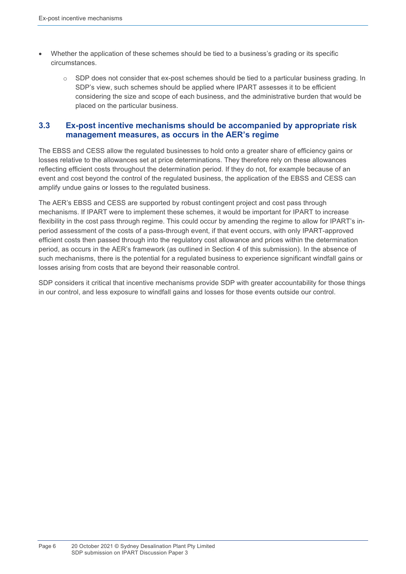- Whether the application of these schemes should be tied to a business's grading or its specific circumstances.
	- $\circ$  SDP does not consider that ex-post schemes should be tied to a particular business grading. In SDP's view, such schemes should be applied where IPART assesses it to be efficient considering the size and scope of each business, and the administrative burden that would be placed on the particular business.

### **3.3 Ex-post incentive mechanisms should be accompanied by appropriate risk management measures, as occurs in the AER's regime**

The EBSS and CESS allow the regulated businesses to hold onto a greater share of efficiency gains or losses relative to the allowances set at price determinations. They therefore rely on these allowances reflecting efficient costs throughout the determination period. If they do not, for example because of an event and cost beyond the control of the regulated business, the application of the EBSS and CESS can amplify undue gains or losses to the regulated business.

The AER's EBSS and CESS are supported by robust contingent project and cost pass through mechanisms. If IPART were to implement these schemes, it would be important for IPART to increase flexibility in the cost pass through regime. This could occur by amending the regime to allow for IPART's inperiod assessment of the costs of a pass-through event, if that event occurs, with only IPART-approved efficient costs then passed through into the regulatory cost allowance and prices within the determination period, as occurs in the AER's framework (as outlined in Section 4 of this submission). In the absence of such mechanisms, there is the potential for a regulated business to experience significant windfall gains or losses arising from costs that are beyond their reasonable control.

SDP considers it critical that incentive mechanisms provide SDP with greater accountability for those things in our control, and less exposure to windfall gains and losses for those events outside our control.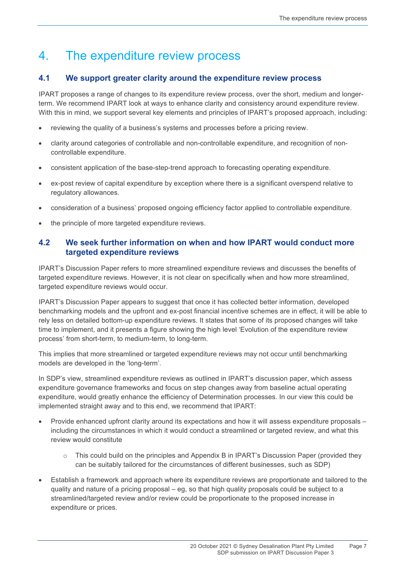## 4. The expenditure review process

## **4.1 We support greater clarity around the expenditure review process**

IPART proposes a range of changes to its expenditure review process, over the short, medium and longerterm. We recommend IPART look at ways to enhance clarity and consistency around expenditure review. With this in mind, we support several key elements and principles of IPART's proposed approach, including:

- reviewing the quality of a business's systems and processes before a pricing review.
- clarity around categories of controllable and non-controllable expenditure, and recognition of noncontrollable expenditure.
- consistent application of the base-step-trend approach to forecasting operating expenditure.
- ex-post review of capital expenditure by exception where there is a significant overspend relative to regulatory allowances.
- consideration of a business' proposed ongoing efficiency factor applied to controllable expenditure.
- the principle of more targeted expenditure reviews.

## **4.2 We seek further information on when and how IPART would conduct more targeted expenditure reviews**

IPART's Discussion Paper refers to more streamlined expenditure reviews and discusses the benefits of targeted expenditure reviews. However, it is not clear on specifically when and how more streamlined, targeted expenditure reviews would occur.

IPART's Discussion Paper appears to suggest that once it has collected better information, developed benchmarking models and the upfront and ex-post financial incentive schemes are in effect, it will be able to rely less on detailed bottom-up expenditure reviews. It states that some of its proposed changes will take time to implement, and it presents a figure showing the high level 'Evolution of the expenditure review process' from short-term, to medium-term, to long-term.

This implies that more streamlined or targeted expenditure reviews may not occur until benchmarking models are developed in the 'long-term'.

In SDP's view, streamlined expenditure reviews as outlined in IPART's discussion paper, which assess expenditure governance frameworks and focus on step changes away from baseline actual operating expenditure, would greatly enhance the efficiency of Determination processes. In our view this could be implemented straight away and to this end, we recommend that IPART:

- Provide enhanced upfront clarity around its expectations and how it will assess expenditure proposals including the circumstances in which it would conduct a streamlined or targeted review, and what this review would constitute
	- $\circ$  This could build on the principles and Appendix B in IPART's Discussion Paper (provided they can be suitably tailored for the circumstances of different businesses, such as SDP)
- Establish a framework and approach where its expenditure reviews are proportionate and tailored to the quality and nature of a pricing proposal – eg, so that high quality proposals could be subject to a streamlined/targeted review and/or review could be proportionate to the proposed increase in expenditure or prices.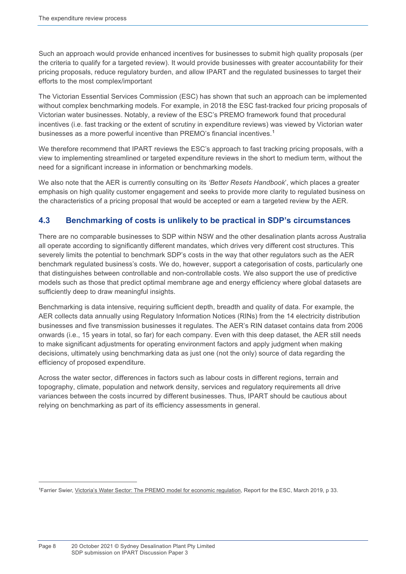Such an approach would provide enhanced incentives for businesses to submit high quality proposals (per the criteria to qualify for a targeted review). It would provide businesses with greater accountability for their pricing proposals, reduce regulatory burden, and allow IPART and the regulated businesses to target their efforts to the most complex/important

The Victorian Essential Services Commission (ESC) has shown that such an approach can be implemented without complex benchmarking models. For example, in 2018 the ESC fast-tracked four pricing proposals of Victorian water businesses. Notably, a review of the ESC's PREMO framework found that procedural incentives (i.e. fast tracking or the extent of scrutiny in expenditure reviews) was viewed by Victorian water businesses as a more powerful incentive than PREMO's financial incentives. [1](#page-11-0) 

We therefore recommend that IPART reviews the ESC's approach to fast tracking pricing proposals, with a view to implementing streamlined or targeted expenditure reviews in the short to medium term, without the need for a significant increase in information or benchmarking models.

We also note that the AER is currently consulting on its *'Better Resets Handbook*', which places a greater emphasis on high quality customer engagement and seeks to provide more clarity to regulated business on the characteristics of a pricing proposal that would be accepted or earn a targeted review by the AER.

## **4.3 Benchmarking of costs is unlikely to be practical in SDP's circumstances**

There are no comparable businesses to SDP within NSW and the other desalination plants across Australia all operate according to significantly different mandates, which drives very different cost structures. This severely limits the potential to benchmark SDP's costs in the way that other regulators such as the AER benchmark regulated business's costs. We do, however, support a categorisation of costs, particularly one that distinguishes between controllable and non-controllable costs. We also support the use of predictive models such as those that predict optimal membrane age and energy efficiency where global datasets are sufficiently deep to draw meaningful insights.

Benchmarking is data intensive, requiring sufficient depth, breadth and quality of data. For example, the AER collects data annually using Regulatory Information Notices (RINs) from the 14 electricity distribution businesses and five transmission businesses it regulates. The AER's RIN dataset contains data from 2006 onwards (i.e., 15 years in total, so far) for each company. Even with this deep dataset, the AER still needs to make significant adjustments for operating environment factors and apply judgment when making decisions, ultimately using benchmarking data as just one (not the only) source of data regarding the efficiency of proposed expenditure.

Across the water sector, differences in factors such as labour costs in different regions, terrain and topography, climate, population and network density, services and regulatory requirements all drive variances between the costs incurred by different businesses. Thus, IPART should be cautious about relying on benchmarking as part of its efficiency assessments in general.

 $\overline{a}$ 

<span id="page-11-0"></span><sup>&</sup>lt;sup>1</sup>Farrier Swier, <u>Victoria's Water Sector: The PREMO model for economic regulation</u>, Report for the ESC, March 2019, p 33.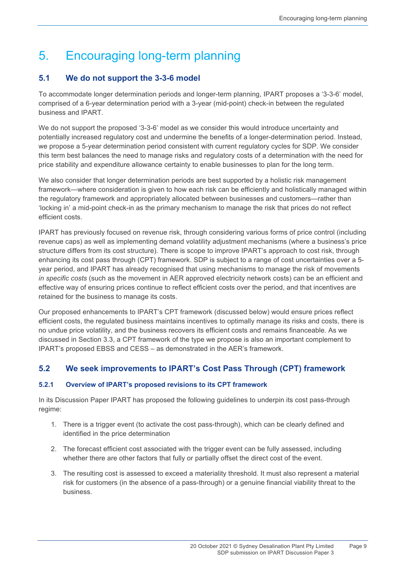# 5. Encouraging long-term planning

## **5.1 We do not support the 3-3-6 model**

To accommodate longer determination periods and longer-term planning, IPART proposes a '3-3-6' model, comprised of a 6-year determination period with a 3-year (mid-point) check-in between the regulated business and IPART.

We do not support the proposed '3-3-6' model as we consider this would introduce uncertainty and potentially increased regulatory cost and undermine the benefits of a longer-determination period. Instead, we propose a 5-year determination period consistent with current regulatory cycles for SDP. We consider this term best balances the need to manage risks and regulatory costs of a determination with the need for price stability and expenditure allowance certainty to enable businesses to plan for the long term.

We also consider that longer determination periods are best supported by a holistic risk management framework—where consideration is given to how each risk can be efficiently and holistically managed within the regulatory framework and appropriately allocated between businesses and customers—rather than 'locking in' a mid-point check-in as the primary mechanism to manage the risk that prices do not reflect efficient costs.

IPART has previously focused on revenue risk, through considering various forms of price control (including revenue caps) as well as implementing demand volatility adjustment mechanisms (where a business's price structure differs from its cost structure). There is scope to improve IPART's approach to cost risk, through enhancing its cost pass through (CPT) framework. SDP is subject to a range of cost uncertainties over a 5 year period, and IPART has already recognised that using mechanisms to manage the risk of movements *in specific costs* (such as the movement in AER approved electricity network costs) can be an efficient and effective way of ensuring prices continue to reflect efficient costs over the period, and that incentives are retained for the business to manage its costs.

Our proposed enhancements to IPART's CPT framework (discussed below) would ensure prices reflect efficient costs, the regulated business maintains incentives to optimally manage its risks and costs, there is no undue price volatility, and the business recovers its efficient costs and remains financeable. As we discussed in Section 3.3, a CPT framework of the type we propose is also an important complement to IPART's proposed EBSS and CESS – as demonstrated in the AER's framework.

## **5.2 We seek improvements to IPART's Cost Pass Through (CPT) framework**

### **5.2.1 Overview of IPART's proposed revisions to its CPT framework**

In its Discussion Paper IPART has proposed the following guidelines to underpin its cost pass-through regime:

- 1. There is a trigger event (to activate the cost pass-through), which can be clearly defined and identified in the price determination
- 2. The forecast efficient cost associated with the trigger event can be fully assessed, including whether there are other factors that fully or partially offset the direct cost of the event.
- 3. The resulting cost is assessed to exceed a materiality threshold. It must also represent a material risk for customers (in the absence of a pass-through) or a genuine financial viability threat to the business.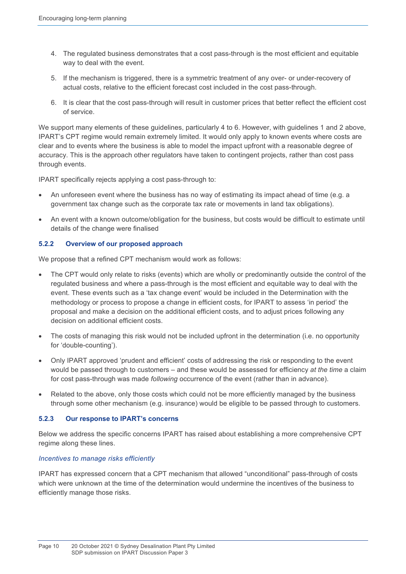- 4. The regulated business demonstrates that a cost pass-through is the most efficient and equitable way to deal with the event.
- 5. If the mechanism is triggered, there is a symmetric treatment of any over- or under-recovery of actual costs, relative to the efficient forecast cost included in the cost pass-through.
- 6. It is clear that the cost pass-through will result in customer prices that better reflect the efficient cost of service.

We support many elements of these guidelines, particularly 4 to 6. However, with guidelines 1 and 2 above, IPART's CPT regime would remain extremely limited. It would only apply to known events where costs are clear and to events where the business is able to model the impact upfront with a reasonable degree of accuracy. This is the approach other regulators have taken to contingent projects, rather than cost pass through events.

IPART specifically rejects applying a cost pass-through to:

- An unforeseen event where the business has no way of estimating its impact ahead of time (e.g. a government tax change such as the corporate tax rate or movements in land tax obligations).
- An event with a known outcome/obligation for the business, but costs would be difficult to estimate until details of the change were finalised

### **5.2.2 Overview of our proposed approach**

We propose that a refined CPT mechanism would work as follows:

- The CPT would only relate to risks (events) which are wholly or predominantly outside the control of the regulated business and where a pass-through is the most efficient and equitable way to deal with the event. These events such as a 'tax change event' would be included in the Determination with the methodology or process to propose a change in efficient costs, for IPART to assess 'in period' the proposal and make a decision on the additional efficient costs, and to adjust prices following any decision on additional efficient costs.
- The costs of managing this risk would not be included upfront in the determination (i.e. no opportunity for 'double-counting').
- Only IPART approved 'prudent and efficient' costs of addressing the risk or responding to the event would be passed through to customers – and these would be assessed for efficiency *at the time* a claim for cost pass-through was made *following* occurrence of the event (rather than in advance).
- Related to the above, only those costs which could not be more efficiently managed by the business through some other mechanism (e.g. insurance) would be eligible to be passed through to customers.

#### **5.2.3 Our response to IPART's concerns**

Below we address the specific concerns IPART has raised about establishing a more comprehensive CPT regime along these lines.

#### *Incentives to manage risks efficiently*

IPART has expressed concern that a CPT mechanism that allowed "unconditional" pass-through of costs which were unknown at the time of the determination would undermine the incentives of the business to efficiently manage those risks.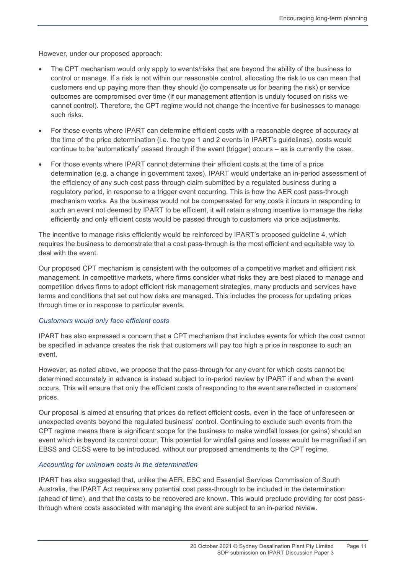However, under our proposed approach:

- The CPT mechanism would only apply to events/risks that are beyond the ability of the business to control or manage. If a risk is not within our reasonable control, allocating the risk to us can mean that customers end up paying more than they should (to compensate us for bearing the risk) or service outcomes are compromised over time (if our management attention is unduly focused on risks we cannot control). Therefore, the CPT regime would not change the incentive for businesses to manage such risks.
- For those events where IPART can determine efficient costs with a reasonable degree of accuracy at the time of the price determination (i.e. the type 1 and 2 events in IPART's guidelines), costs would continue to be 'automatically' passed through if the event (trigger) occurs – as is currently the case.
- For those events where IPART cannot determine their efficient costs at the time of a price determination (e.g. a change in government taxes), IPART would undertake an in-period assessment of the efficiency of any such cost pass-through claim submitted by a regulated business during a regulatory period, in response to a trigger event occurring. This is how the AER cost pass-through mechanism works. As the business would not be compensated for any costs it incurs in responding to such an event not deemed by IPART to be efficient, it will retain a strong incentive to manage the risks efficiently and only efficient costs would be passed through to customers via price adjustments.

The incentive to manage risks efficiently would be reinforced by IPART's proposed guideline 4, which requires the business to demonstrate that a cost pass-through is the most efficient and equitable way to deal with the event.

Our proposed CPT mechanism is consistent with the outcomes of a competitive market and efficient risk management. In competitive markets, where firms consider what risks they are best placed to manage and competition drives firms to adopt efficient risk management strategies, many products and services have terms and conditions that set out how risks are managed. This includes the process for updating prices through time or in response to particular events.

#### *Customers would only face efficient costs*

IPART has also expressed a concern that a CPT mechanism that includes events for which the cost cannot be specified in advance creates the risk that customers will pay too high a price in response to such an event.

However, as noted above, we propose that the pass-through for any event for which costs cannot be determined accurately in advance is instead subject to in-period review by IPART if and when the event occurs. This will ensure that only the efficient costs of responding to the event are reflected in customers' prices.

Our proposal is aimed at ensuring that prices do reflect efficient costs, even in the face of unforeseen or unexpected events beyond the regulated business' control. Continuing to exclude such events from the CPT regime means there is significant scope for the business to make windfall losses (or gains) should an event which is beyond its control occur. This potential for windfall gains and losses would be magnified if an EBSS and CESS were to be introduced, without our proposed amendments to the CPT regime.

#### *Accounting for unknown costs in the determination*

IPART has also suggested that, unlike the AER, ESC and Essential Services Commission of South Australia, the IPART Act requires any potential cost pass-through to be included in the determination (ahead of time), and that the costs to be recovered are known. This would preclude providing for cost passthrough where costs associated with managing the event are subject to an in-period review.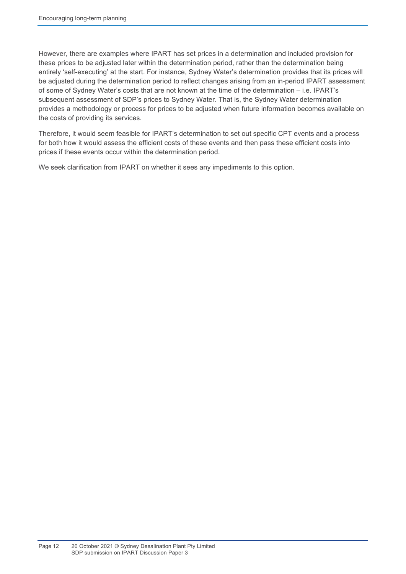However, there are examples where IPART has set prices in a determination and included provision for these prices to be adjusted later within the determination period, rather than the determination being entirely 'self-executing' at the start. For instance, Sydney Water's determination provides that its prices will be adjusted during the determination period to reflect changes arising from an in-period IPART assessment of some of Sydney Water's costs that are not known at the time of the determination – i.e. IPART's subsequent assessment of SDP's prices to Sydney Water. That is, the Sydney Water determination provides a methodology or process for prices to be adjusted when future information becomes available on the costs of providing its services.

Therefore, it would seem feasible for IPART's determination to set out specific CPT events and a process for both how it would assess the efficient costs of these events and then pass these efficient costs into prices if these events occur within the determination period.

We seek clarification from IPART on whether it sees any impediments to this option.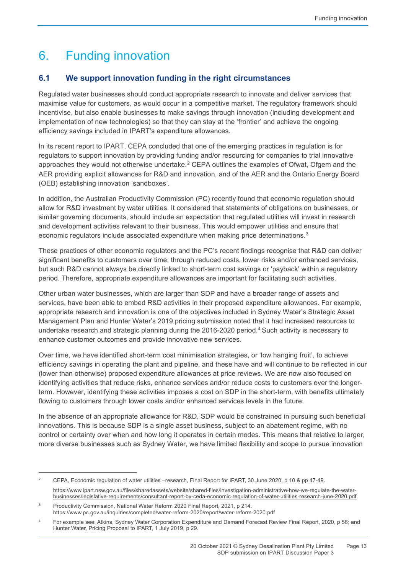# 6. Funding innovation

## **6.1 We support innovation funding in the right circumstances**

Regulated water businesses should conduct appropriate research to innovate and deliver services that maximise value for customers, as would occur in a competitive market. The regulatory framework should incentivise, but also enable businesses to make savings through innovation (including development and implementation of new technologies) so that they can stay at the 'frontier' and achieve the ongoing efficiency savings included in IPART's expenditure allowances.

In its recent report to IPART, CEPA concluded that one of the emerging practices in regulation is for regulators to support innovation by providing funding and/or resourcing for companies to trial innovative approaches they would not otherwise undertake.<sup>[2](#page-16-0)</sup> CEPA outlines the examples of Ofwat, Ofgem and the AER providing explicit allowances for R&D and innovation, and of the AER and the Ontario Energy Board (OEB) establishing innovation 'sandboxes'.

In addition, the Australian Productivity Commission (PC) recently found that economic regulation should allow for R&D investment by water utilities. It considered that statements of obligations on businesses, or similar governing documents, should include an expectation that regulated utilities will invest in research and development activities relevant to their business. This would empower utilities and ensure that economic regulators include associated expenditure when making price determinations.<sup>[3](#page-16-1)</sup>

These practices of other economic regulators and the PC's recent findings recognise that R&D can deliver significant benefits to customers over time, through reduced costs, lower risks and/or enhanced services, but such R&D cannot always be directly linked to short-term cost savings or 'payback' within a regulatory period. Therefore, appropriate expenditure allowances are important for facilitating such activities.

Other urban water businesses, which are larger than SDP and have a broader range of assets and services, have been able to embed R&D activities in their proposed expenditure allowances. For example, appropriate research and innovation is one of the objectives included in Sydney Water's Strategic Asset Management Plan and Hunter Water's 2019 pricing submission noted that it had increased resources to undertake research and strategic planning during the 2016-2020 period.<sup>[4](#page-16-2)</sup> Such activity is necessary to enhance customer outcomes and provide innovative new services.

Over time, we have identified short-term cost minimisation strategies, or 'low hanging fruit', to achieve efficiency savings in operating the plant and pipeline, and these have and will continue to be reflected in our (lower than otherwise) proposed expenditure allowances at price reviews. We are now also focused on identifying activities that reduce risks, enhance services and/or reduce costs to customers over the longerterm. However, identifying these activities imposes a cost on SDP in the short-term, with benefits ultimately flowing to customers through lower costs and/or enhanced services levels in the future.

In the absence of an appropriate allowance for R&D, SDP would be constrained in pursuing such beneficial innovations. This is because SDP is a single asset business, subject to an abatement regime, with no control or certainty over when and how long it operates in certain modes. This means that relative to larger, more diverse businesses such as Sydney Water, we have limited flexibility and scope to pursue innovation

 $\overline{a}$ 

<span id="page-16-0"></span><sup>2</sup> CEPA, Economic regulation of water utilities –research, Final Report for IPART, 30 June 2020, p 10 & pp 47-49. [https://www.ipart.nsw.gov.au/files/sharedassets/website/shared-files/investigation-administrative-how-we-regulate-the-water](https://www.ipart.nsw.gov.au/files/sharedassets/website/shared-files/investigation-administrative-how-we-regulate-the-water-businesses/legislative-requirements/consultant-report-by-ceda-economic-regulation-of-water-utilities-research-june-2020.pdf)[businesses/legislative-requirements/consultant-report-by-ceda-economic-regulation-of-water-utilities-research-june-2020.pdf](https://www.ipart.nsw.gov.au/files/sharedassets/website/shared-files/investigation-administrative-how-we-regulate-the-water-businesses/legislative-requirements/consultant-report-by-ceda-economic-regulation-of-water-utilities-research-june-2020.pdf) 

<span id="page-16-1"></span><sup>3</sup> Productivity Commission, National Water Reform 2020 Final Report, 2021, p 214. https://www.pc.gov.au/inquiries/completed/water-reform-2020/report/water-reform-2020.pdf

<span id="page-16-2"></span><sup>4</sup> For example see: Atkins, Sydney Water Corporation Expenditure and Demand Forecast Review Final Report, 2020, p 56; and Hunter Water, Pricing Proposal to IPART, 1 July 2019, p 29.